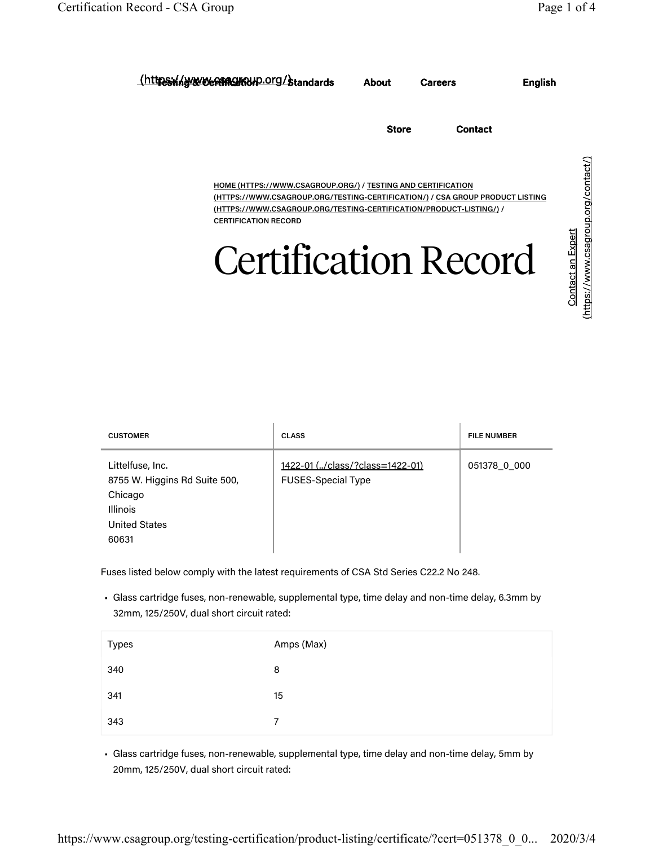| https://www.esses.crg/standards                                                                                                                                                                                                                            | About        | <b>Careers</b> | <b>English</b> |
|------------------------------------------------------------------------------------------------------------------------------------------------------------------------------------------------------------------------------------------------------------|--------------|----------------|----------------|
|                                                                                                                                                                                                                                                            | <b>Store</b> | <b>Contact</b> |                |
| <b>HOME (HTTPS://WWW.CSAGROUP.ORG/) / TESTING AND CERTIFICATION</b><br>(HTTPS://WWW.CSAGROUP.ORG/TESTING-CERTIFICATION/) / CSA GROUP PRODUCT LISTING<br>(HTTPS://WWW.CSAGROUP.ORG/TESTING-CERTIFICATION/PRODUCT-LISTING/) /<br><b>CERTIFICATION RECORD</b> |              |                |                |
| <b>Certification Record</b>                                                                                                                                                                                                                                |              |                |                |

| <b>CUSTOMER</b>                                                                                                  | <b>CLASS</b>                                                 | <b>FILE NUMBER</b> |
|------------------------------------------------------------------------------------------------------------------|--------------------------------------------------------------|--------------------|
| Littelfuse, Inc.<br>8755 W. Higgins Rd Suite 500,<br>Chicago<br><b>Illinois</b><br><b>United States</b><br>60631 | 1422-01 (/class/?class=1422-01)<br><b>FUSES-Special Type</b> | 051378 0 000       |

Fuses listed below comply with the latest requirements of CSA Std Series C22.2 No 248.

• Glass cartridge fuses, non-renewable, supplemental type, time delay and non-time delay, 6.3mm by 32mm, 125/250V, dual short circuit rated:

| <b>Types</b> | Amps (Max)     |
|--------------|----------------|
| 340          | 8              |
| 341          | 15             |
| 343          | $\overline{7}$ |

• Glass cartridge fuses, non-renewable, supplemental type, time delay and non-time delay, 5mm by 20mm, 125/250V, dual short circuit rated: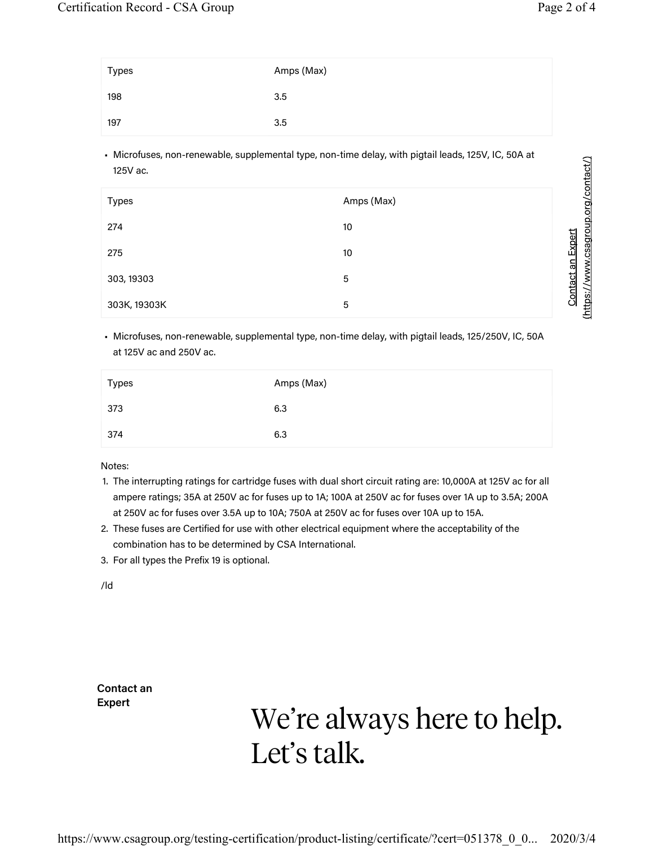(https://www.csagroup.org/contact/)

**Contact an Expert** 

| Types | Amps (Max) |
|-------|------------|
| 198   | 3.5        |
| 197   | 3.5        |

• Microfuses, non-renewable, supplemental type, non-time delay, with pigtail leads, 125V, IC, 50A at 125V ac.

| <b>Types</b> | Amps (Max) |
|--------------|------------|
| 274          | 10         |
| 275          | 10         |
| 303, 19303   | 5          |
| 303K, 19303K | 5          |

• Microfuses, non-renewable, supplemental type, non-time delay, with pigtail leads, 125/250V, IC, 50A at 125V ac and 250V ac.

| Types | Amps (Max) |
|-------|------------|
| 373   | 6.3        |
| 374   | 6.3        |

Notes:

- 1. The interrupting ratings for cartridge fuses with dual short circuit rating are: 10,000A at 125V ac for all ampere ratings; 35A at 250V ac for fuses up to 1A; 100A at 250V ac for fuses over 1A up to 3.5A; 200A at 250V ac for fuses over 3.5A up to 10A; 750A at 250V ac for fuses over 10A up to 15A.
- 2. These fuses are Certified for use with other electrical equipment where the acceptability of the combination has to be determined by CSA International.
- 3. For all types the Prefix 19 is optional.

/ld

**Contact an Expert**

## We're always here to help. Let's talk.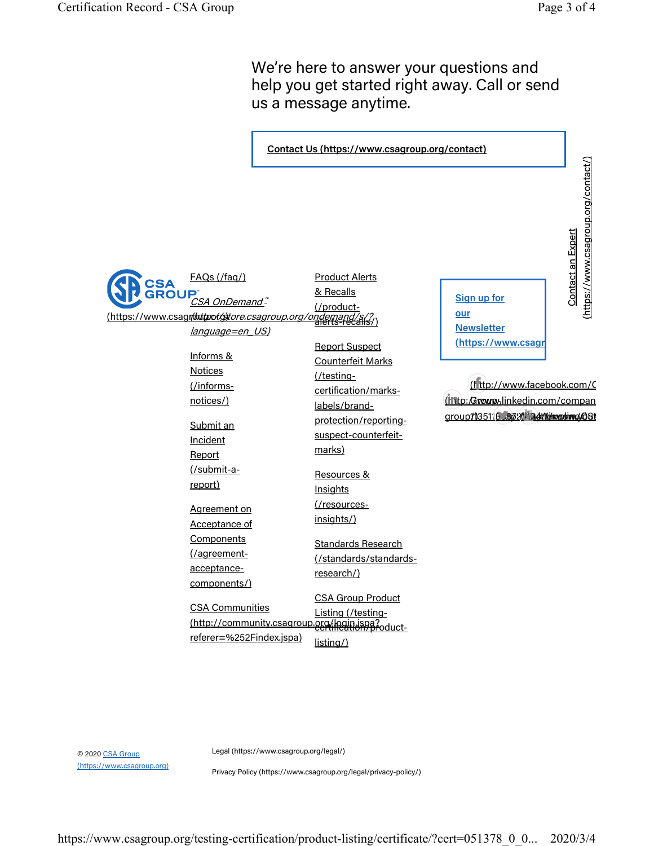We're here to answer your questions and help you get started right away. Call or send us a message anytime.



© 2020 CSA Group (https://www.csagroup.org) Legal (https://www.csagroup.org/legal/)

Privacy Policy (https://www.csagroup.org/legal/privacy-policy/)